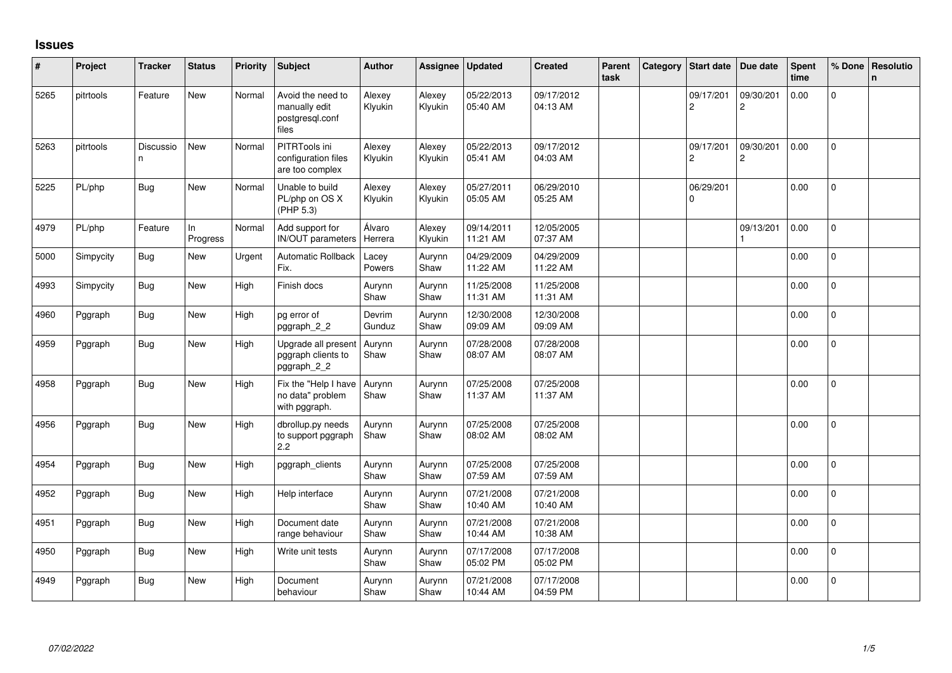## **Issues**

| #    | Project   | <b>Tracker</b> | <b>Status</b>   | <b>Priority</b> | <b>Subject</b>                                                 | <b>Author</b>     | Assignee          | <b>Updated</b>         | <b>Created</b>         | Parent<br>task | Category | <b>Start date</b>           | Due date                    | <b>Spent</b><br>time | % Done       | Resolutio<br>n. |
|------|-----------|----------------|-----------------|-----------------|----------------------------------------------------------------|-------------------|-------------------|------------------------|------------------------|----------------|----------|-----------------------------|-----------------------------|----------------------|--------------|-----------------|
| 5265 | pitrtools | Feature        | <b>New</b>      | Normal          | Avoid the need to<br>manually edit<br>postgresql.conf<br>files | Alexey<br>Klyukin | Alexey<br>Klyukin | 05/22/2013<br>05:40 AM | 09/17/2012<br>04:13 AM |                |          | 09/17/201<br>$\overline{c}$ | 09/30/201<br>$\overline{c}$ | 0.00                 | $\mathbf{0}$ |                 |
| 5263 | pitrtools | Discussio<br>n | <b>New</b>      | Normal          | PITRTools ini<br>configuration files<br>are too complex        | Alexey<br>Klyukin | Alexey<br>Klyukin | 05/22/2013<br>05:41 AM | 09/17/2012<br>04:03 AM |                |          | 09/17/201<br>$\overline{c}$ | 09/30/201<br>$\overline{c}$ | 0.00                 | $\pmb{0}$    |                 |
| 5225 | PL/php    | <b>Bug</b>     | <b>New</b>      | Normal          | Unable to build<br>PL/php on OS X<br>(PHP 5.3)                 | Alexey<br>Klyukin | Alexey<br>Klyukin | 05/27/2011<br>05:05 AM | 06/29/2010<br>05:25 AM |                |          | 06/29/201<br>$\Omega$       |                             | 0.00                 | $\mathbf 0$  |                 |
| 4979 | PL/php    | Feature        | In.<br>Progress | Normal          | Add support for<br>IN/OUT parameters                           | Álvaro<br>Herrera | Alexey<br>Klyukin | 09/14/2011<br>11:21 AM | 12/05/2005<br>07:37 AM |                |          |                             | 09/13/201                   | 0.00                 | $\mathbf{0}$ |                 |
| 5000 | Simpycity | <b>Bug</b>     | New             | Urgent          | <b>Automatic Rollback</b><br>Fix.                              | Lacey<br>Powers   | Aurynn<br>Shaw    | 04/29/2009<br>11:22 AM | 04/29/2009<br>11:22 AM |                |          |                             |                             | 0.00                 | $\mathbf{0}$ |                 |
| 4993 | Simpycity | <b>Bug</b>     | <b>New</b>      | High            | Finish docs                                                    | Aurynn<br>Shaw    | Aurynn<br>Shaw    | 11/25/2008<br>11:31 AM | 11/25/2008<br>11:31 AM |                |          |                             |                             | 0.00                 | $\mathsf{O}$ |                 |
| 4960 | Pggraph   | <b>Bug</b>     | <b>New</b>      | High            | pg error of<br>pggraph_2_2                                     | Devrim<br>Gunduz  | Aurynn<br>Shaw    | 12/30/2008<br>09:09 AM | 12/30/2008<br>09:09 AM |                |          |                             |                             | 0.00                 | $\mathsf{O}$ |                 |
| 4959 | Pggraph   | <b>Bug</b>     | New             | High            | Upgrade all present<br>pggraph clients to<br>pggraph_2_2       | Aurynn<br>Shaw    | Aurynn<br>Shaw    | 07/28/2008<br>08:07 AM | 07/28/2008<br>08:07 AM |                |          |                             |                             | 0.00                 | $\mathbf{0}$ |                 |
| 4958 | Pggraph   | <b>Bug</b>     | <b>New</b>      | High            | Fix the "Help I have<br>no data" problem<br>with pggraph.      | Aurynn<br>Shaw    | Aurynn<br>Shaw    | 07/25/2008<br>11:37 AM | 07/25/2008<br>11:37 AM |                |          |                             |                             | 0.00                 | $\Omega$     |                 |
| 4956 | Pggraph   | Bug            | New             | High            | dbrollup.py needs<br>to support pggraph<br>2.2                 | Aurynn<br>Shaw    | Aurynn<br>Shaw    | 07/25/2008<br>08:02 AM | 07/25/2008<br>08:02 AM |                |          |                             |                             | 0.00                 | $\mathbf 0$  |                 |
| 4954 | Pggraph   | <b>Bug</b>     | <b>New</b>      | High            | pggraph clients                                                | Aurynn<br>Shaw    | Aurynn<br>Shaw    | 07/25/2008<br>07:59 AM | 07/25/2008<br>07:59 AM |                |          |                             |                             | 0.00                 | $\Omega$     |                 |
| 4952 | Pggraph   | Bug            | New             | High            | Help interface                                                 | Aurynn<br>Shaw    | Aurynn<br>Shaw    | 07/21/2008<br>10:40 AM | 07/21/2008<br>10:40 AM |                |          |                             |                             | 0.00                 | $\mathbf{0}$ |                 |
| 4951 | Pggraph   | <b>Bug</b>     | <b>New</b>      | High            | Document date<br>range behaviour                               | Aurynn<br>Shaw    | Aurynn<br>Shaw    | 07/21/2008<br>10:44 AM | 07/21/2008<br>10:38 AM |                |          |                             |                             | 0.00                 | $\Omega$     |                 |
| 4950 | Pggraph   | Bug            | <b>New</b>      | High            | Write unit tests                                               | Aurynn<br>Shaw    | Aurynn<br>Shaw    | 07/17/2008<br>05:02 PM | 07/17/2008<br>05:02 PM |                |          |                             |                             | 0.00                 | $\Omega$     |                 |
| 4949 | Pggraph   | Bug            | New             | High            | Document<br>behaviour                                          | Aurynn<br>Shaw    | Aurynn<br>Shaw    | 07/21/2008<br>10:44 AM | 07/17/2008<br>04:59 PM |                |          |                             |                             | 0.00                 | 0            |                 |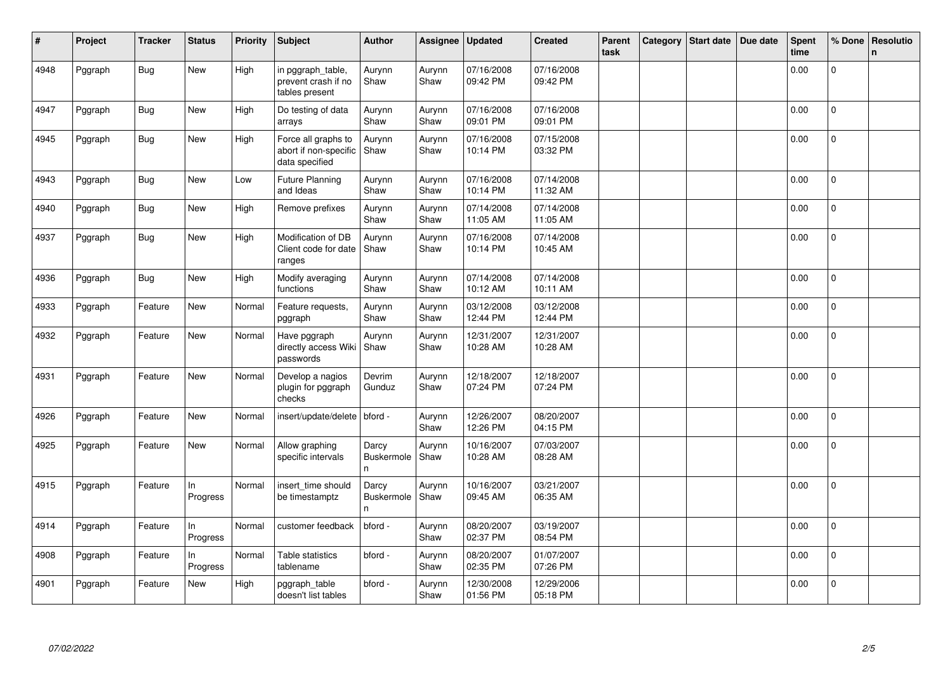| ∦    | Project | <b>Tracker</b> | <b>Status</b>  | <b>Priority</b> | <b>Subject</b>                                                 | <b>Author</b>                              | Assignee       | <b>Updated</b>         | <b>Created</b>         | Parent<br>task | Category | <b>Start date</b> | Due date | <b>Spent</b><br>time | % Done         | <b>Resolutio</b><br>$\mathbf n$ |
|------|---------|----------------|----------------|-----------------|----------------------------------------------------------------|--------------------------------------------|----------------|------------------------|------------------------|----------------|----------|-------------------|----------|----------------------|----------------|---------------------------------|
| 4948 | Pggraph | <b>Bug</b>     | New            | High            | in pggraph_table,<br>prevent crash if no<br>tables present     | Aurynn<br>Shaw                             | Aurynn<br>Shaw | 07/16/2008<br>09:42 PM | 07/16/2008<br>09:42 PM |                |          |                   |          | 0.00                 | $\overline{0}$ |                                 |
| 4947 | Pggraph | <b>Bug</b>     | New            | High            | Do testing of data<br>arrays                                   | Aurynn<br>Shaw                             | Aurynn<br>Shaw | 07/16/2008<br>09:01 PM | 07/16/2008<br>09:01 PM |                |          |                   |          | 0.00                 | $\mathbf 0$    |                                 |
| 4945 | Pggraph | Bug            | <b>New</b>     | High            | Force all graphs to<br>abort if non-specific<br>data specified | Aurynn<br>Shaw                             | Aurynn<br>Shaw | 07/16/2008<br>10:14 PM | 07/15/2008<br>03:32 PM |                |          |                   |          | 0.00                 | $\Omega$       |                                 |
| 4943 | Pggraph | Bug            | New            | Low             | <b>Future Planning</b><br>and Ideas                            | Aurynn<br>Shaw                             | Aurynn<br>Shaw | 07/16/2008<br>10:14 PM | 07/14/2008<br>11:32 AM |                |          |                   |          | 0.00                 | $\Omega$       |                                 |
| 4940 | Pggraph | <b>Bug</b>     | New            | High            | Remove prefixes                                                | Aurynn<br>Shaw                             | Aurynn<br>Shaw | 07/14/2008<br>11:05 AM | 07/14/2008<br>11:05 AM |                |          |                   |          | 0.00                 | $\Omega$       |                                 |
| 4937 | Pggraph | <b>Bug</b>     | <b>New</b>     | High            | Modification of DB<br>Client code for date<br>ranges           | Aurynn<br>Shaw                             | Aurynn<br>Shaw | 07/16/2008<br>10:14 PM | 07/14/2008<br>10:45 AM |                |          |                   |          | 0.00                 | $\Omega$       |                                 |
| 4936 | Pggraph | <b>Bug</b>     | New            | High            | Modify averaging<br>functions                                  | Aurynn<br>Shaw                             | Aurynn<br>Shaw | 07/14/2008<br>10:12 AM | 07/14/2008<br>10:11 AM |                |          |                   |          | 0.00                 | $\Omega$       |                                 |
| 4933 | Pggraph | Feature        | New            | Normal          | Feature requests,<br>pggraph                                   | Aurynn<br>Shaw                             | Aurynn<br>Shaw | 03/12/2008<br>12:44 PM | 03/12/2008<br>12:44 PM |                |          |                   |          | 0.00                 | 0              |                                 |
| 4932 | Pggraph | Feature        | New            | Normal          | Have pggraph<br>directly access Wiki<br>passwords              | Aurynn<br>Shaw                             | Aurynn<br>Shaw | 12/31/2007<br>10:28 AM | 12/31/2007<br>10:28 AM |                |          |                   |          | 0.00                 | 0              |                                 |
| 4931 | Pggraph | Feature        | New            | Normal          | Develop a nagios<br>plugin for pggraph<br>checks               | Devrim<br>Gunduz                           | Aurynn<br>Shaw | 12/18/2007<br>07:24 PM | 12/18/2007<br>07:24 PM |                |          |                   |          | 0.00                 | $\Omega$       |                                 |
| 4926 | Pggraph | Feature        | New            | Normal          | insert/update/delete                                           | bford -                                    | Aurynn<br>Shaw | 12/26/2007<br>12:26 PM | 08/20/2007<br>04:15 PM |                |          |                   |          | 0.00                 | 0              |                                 |
| 4925 | Pggraph | Feature        | New            | Normal          | Allow graphing<br>specific intervals                           | Darcy<br><b>Buskermole</b><br>n.           | Aurynn<br>Shaw | 10/16/2007<br>10:28 AM | 07/03/2007<br>08:28 AM |                |          |                   |          | 0.00                 | $\Omega$       |                                 |
| 4915 | Pggraph | Feature        | In<br>Progress | Normal          | insert time should<br>be timestamptz                           | Darcy<br><b>Buskermole</b><br>$\mathsf{n}$ | Aurynn<br>Shaw | 10/16/2007<br>09:45 AM | 03/21/2007<br>06:35 AM |                |          |                   |          | 0.00                 | $\overline{0}$ |                                 |
| 4914 | Pggraph | Feature        | In<br>Progress | Normal          | customer feedback                                              | bford -                                    | Aurynn<br>Shaw | 08/20/2007<br>02:37 PM | 03/19/2007<br>08:54 PM |                |          |                   |          | 0.00                 | 0              |                                 |
| 4908 | Pggraph | Feature        | In<br>Progress | Normal          | Table statistics<br>tablename                                  | bford -                                    | Aurynn<br>Shaw | 08/20/2007<br>02:35 PM | 01/07/2007<br>07:26 PM |                |          |                   |          | 0.00                 | 0              |                                 |
| 4901 | Pggraph | Feature        | New            | High            | pggraph_table<br>doesn't list tables                           | bford -                                    | Aurynn<br>Shaw | 12/30/2008<br>01:56 PM | 12/29/2006<br>05:18 PM |                |          |                   |          | 0.00                 | $\Omega$       |                                 |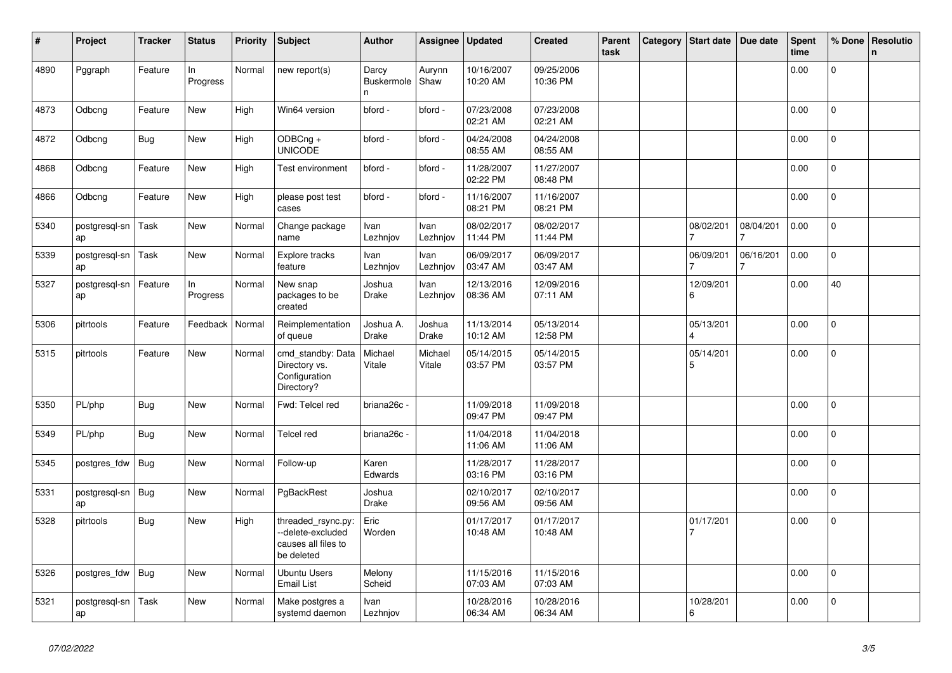| $\#$ | Project             | <b>Tracker</b> | <b>Status</b>  | <b>Priority</b> | <b>Subject</b>                                                              | <b>Author</b>                   | Assignee               | <b>Updated</b>         | <b>Created</b>         | Parent<br>task | Category | <b>Start date</b>     | Due date  | <b>Spent</b><br>time | % Done         | Resolutio<br>$\mathsf{n}$ |
|------|---------------------|----------------|----------------|-----------------|-----------------------------------------------------------------------------|---------------------------------|------------------------|------------------------|------------------------|----------------|----------|-----------------------|-----------|----------------------|----------------|---------------------------|
| 4890 | Pggraph             | Feature        | In<br>Progress | Normal          | new report(s)                                                               | Darcy<br><b>Buskermole</b><br>n | Aurynn<br>Shaw         | 10/16/2007<br>10:20 AM | 09/25/2006<br>10:36 PM |                |          |                       |           | 0.00                 | $\mathbf 0$    |                           |
| 4873 | Odbcng              | Feature        | New            | High            | Win64 version                                                               | bford -                         | bford -                | 07/23/2008<br>02:21 AM | 07/23/2008<br>02:21 AM |                |          |                       |           | 0.00                 | $\Omega$       |                           |
| 4872 | Odbcng              | Bug            | New            | High            | ODBCng +<br><b>UNICODE</b>                                                  | bford -                         | bford -                | 04/24/2008<br>08:55 AM | 04/24/2008<br>08:55 AM |                |          |                       |           | 0.00                 | $\mathbf{0}$   |                           |
| 4868 | Odbcng              | Feature        | New            | High            | Test environment                                                            | bford -                         | bford -                | 11/28/2007<br>02:22 PM | 11/27/2007<br>08:48 PM |                |          |                       |           | 0.00                 | $\Omega$       |                           |
| 4866 | Odbcng              | Feature        | New            | High            | please post test<br>cases                                                   | bford -                         | bford -                | 11/16/2007<br>08:21 PM | 11/16/2007<br>08:21 PM |                |          |                       |           | 0.00                 | 0              |                           |
| 5340 | postgresgl-sn<br>ap | Task           | New            | Normal          | Change package<br>name                                                      | Ivan<br>Lezhnjov                | Ivan<br>Lezhnjov       | 08/02/2017<br>11:44 PM | 08/02/2017<br>11:44 PM |                |          | 08/02/201             | 08/04/201 | 0.00                 | $\mathbf 0$    |                           |
| 5339 | postgresql-sn<br>ap | Task           | New            | Normal          | Explore tracks<br>feature                                                   | Ivan<br>Lezhnjov                | Ivan<br>Lezhnjov       | 06/09/2017<br>03:47 AM | 06/09/2017<br>03:47 AM |                |          | 06/09/201             | 06/16/201 | 0.00                 | $\Omega$       |                           |
| 5327 | postgresgl-sn<br>ap | Feature        | In<br>Progress | Normal          | New snap<br>packages to be<br>created                                       | Joshua<br>Drake                 | Ivan<br>Lezhnjov       | 12/13/2016<br>08:36 AM | 12/09/2016<br>07:11 AM |                |          | 12/09/201<br>6        |           | 0.00                 | 40             |                           |
| 5306 | pitrtools           | Feature        | Feedback       | Normal          | Reimplementation<br>of queue                                                | Joshua A.<br><b>Drake</b>       | Joshua<br><b>Drake</b> | 11/13/2014<br>10:12 AM | 05/13/2014<br>12:58 PM |                |          | 05/13/201<br>$\Delta$ |           | 0.00                 | $\Omega$       |                           |
| 5315 | pitrtools           | Feature        | <b>New</b>     | Normal          | cmd_standby: Data<br>Directory vs.<br>Configuration<br>Directory?           | Michael<br>Vitale               | Michael<br>Vitale      | 05/14/2015<br>03:57 PM | 05/14/2015<br>03:57 PM |                |          | 05/14/201<br>5        |           | 0.00                 | $\mathbf 0$    |                           |
| 5350 | PL/php              | <b>Bug</b>     | <b>New</b>     | Normal          | Fwd: Telcel red                                                             | briana26c -                     |                        | 11/09/2018<br>09:47 PM | 11/09/2018<br>09:47 PM |                |          |                       |           | 0.00                 | $\Omega$       |                           |
| 5349 | PL/php              | Bug            | New            | Normal          | Telcel red                                                                  | briana26c -                     |                        | 11/04/2018<br>11:06 AM | 11/04/2018<br>11:06 AM |                |          |                       |           | 0.00                 | $\overline{0}$ |                           |
| 5345 | postgres fdw        | Bug            | New            | Normal          | Follow-up                                                                   | Karen<br>Edwards                |                        | 11/28/2017<br>03:16 PM | 11/28/2017<br>03:16 PM |                |          |                       |           | 0.00                 | $\mathbf 0$    |                           |
| 5331 | postgresql-sn<br>ap | Bug            | <b>New</b>     | Normal          | PgBackRest                                                                  | Joshua<br><b>Drake</b>          |                        | 02/10/2017<br>09:56 AM | 02/10/2017<br>09:56 AM |                |          |                       |           | 0.00                 | $\overline{0}$ |                           |
| 5328 | pitrtools           | Bug            | <b>New</b>     | High            | threaded rsync.py:<br>-delete-excluded<br>causes all files to<br>be deleted | Eric<br>Worden                  |                        | 01/17/2017<br>10:48 AM | 01/17/2017<br>10:48 AM |                |          | 01/17/201             |           | 0.00                 | $\overline{0}$ |                           |
| 5326 | postgres_fdw        | <b>Bug</b>     | <b>New</b>     | Normal          | Ubuntu Users<br><b>Email List</b>                                           | Melony<br>Scheid                |                        | 11/15/2016<br>07:03 AM | 11/15/2016<br>07:03 AM |                |          |                       |           | 0.00                 | $\Omega$       |                           |
| 5321 | postgresgl-sn<br>ap | Task           | New            | Normal          | Make postgres a<br>systemd daemon                                           | Ivan<br>Lezhnjov                |                        | 10/28/2016<br>06:34 AM | 10/28/2016<br>06:34 AM |                |          | 10/28/201<br>6        |           | 0.00                 | $\overline{0}$ |                           |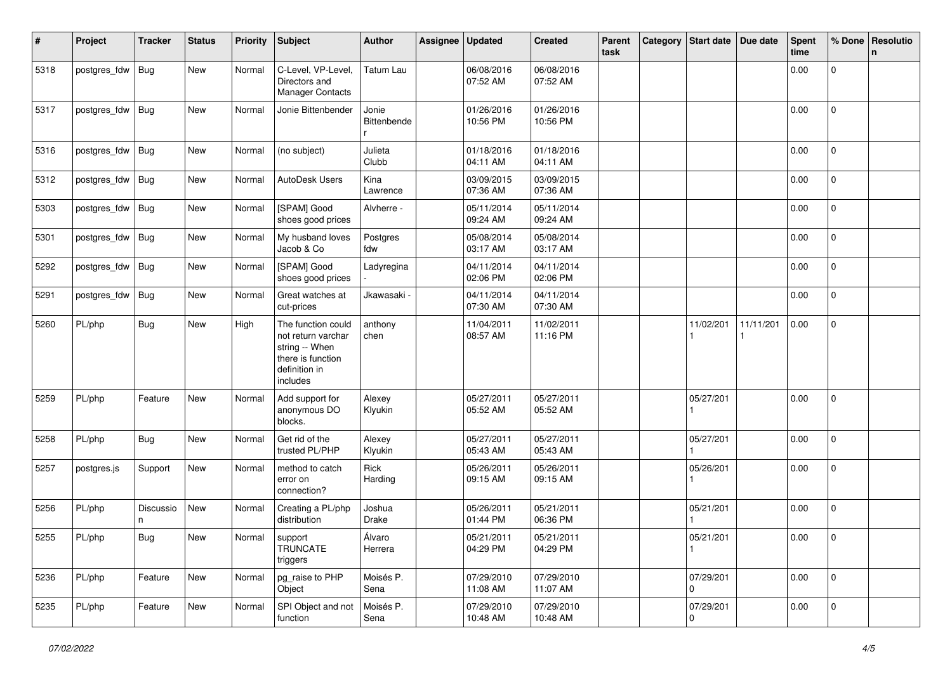| #    | Project      | <b>Tracker</b> | <b>Status</b> | <b>Priority</b> | <b>Subject</b>                                                                                               | <b>Author</b>        | Assignee | <b>Updated</b>         | <b>Created</b>         | Parent<br>task | Category | <b>Start date</b>        | Due date  | <b>Spent</b><br>time | % Done              | Resolutio<br>$\mathsf{n}$ |
|------|--------------|----------------|---------------|-----------------|--------------------------------------------------------------------------------------------------------------|----------------------|----------|------------------------|------------------------|----------------|----------|--------------------------|-----------|----------------------|---------------------|---------------------------|
| 5318 | postgres_fdw | Bug            | New           | Normal          | C-Level, VP-Level<br>Directors and<br><b>Manager Contacts</b>                                                | Tatum Lau            |          | 06/08/2016<br>07:52 AM | 06/08/2016<br>07:52 AM |                |          |                          |           | 0.00                 | $\mathsf{O}\xspace$ |                           |
| 5317 | postgres_fdw | <b>Bug</b>     | New           | Normal          | Jonie Bittenbender                                                                                           | Jonie<br>Bittenbende |          | 01/26/2016<br>10:56 PM | 01/26/2016<br>10:56 PM |                |          |                          |           | 0.00                 | $\overline{0}$      |                           |
| 5316 | postgres_fdw | Bug            | New           | Normal          | (no subject)                                                                                                 | Julieta<br>Clubb     |          | 01/18/2016<br>04:11 AM | 01/18/2016<br>04:11 AM |                |          |                          |           | 0.00                 | $\mathbf{0}$        |                           |
| 5312 | postgres_fdw | Bug            | <b>New</b>    | Normal          | AutoDesk Users                                                                                               | Kina<br>Lawrence     |          | 03/09/2015<br>07:36 AM | 03/09/2015<br>07:36 AM |                |          |                          |           | 0.00                 | $\mathbf 0$         |                           |
| 5303 | postgres_fdw | Bug            | New           | Normal          | [SPAM] Good<br>shoes good prices                                                                             | Alvherre -           |          | 05/11/2014<br>09:24 AM | 05/11/2014<br>09:24 AM |                |          |                          |           | 0.00                 | 0                   |                           |
| 5301 | postgres_fdw | Bug            | New           | Normal          | My husband loves<br>Jacob & Co                                                                               | Postgres<br>fdw      |          | 05/08/2014<br>03:17 AM | 05/08/2014<br>03:17 AM |                |          |                          |           | 0.00                 | 0                   |                           |
| 5292 | postgres_fdw | Bug            | New           | Normal          | [SPAM] Good<br>shoes good prices                                                                             | Ladyregina           |          | 04/11/2014<br>02:06 PM | 04/11/2014<br>02:06 PM |                |          |                          |           | 0.00                 | $\mathbf 0$         |                           |
| 5291 | postgres_fdw | Bug            | <b>New</b>    | Normal          | Great watches at<br>cut-prices                                                                               | Jkawasaki            |          | 04/11/2014<br>07:30 AM | 04/11/2014<br>07:30 AM |                |          |                          |           | 0.00                 | $\mathbf 0$         |                           |
| 5260 | PL/php       | <b>Bug</b>     | New           | High            | The function could<br>not return varchar<br>string -- When<br>there is function<br>definition in<br>includes | anthony<br>chen      |          | 11/04/2011<br>08:57 AM | 11/02/2011<br>11:16 PM |                |          | 11/02/201                | 11/11/201 | 0.00                 | $\mathbf{0}$        |                           |
| 5259 | PL/php       | Feature        | <b>New</b>    | Normal          | Add support for<br>anonymous DO<br>blocks.                                                                   | Alexey<br>Klyukin    |          | 05/27/2011<br>05:52 AM | 05/27/2011<br>05:52 AM |                |          | 05/27/201                |           | 0.00                 | $\mathbf 0$         |                           |
| 5258 | PL/php       | <b>Bug</b>     | New           | Normal          | Get rid of the<br>trusted PL/PHP                                                                             | Alexey<br>Klyukin    |          | 05/27/2011<br>05:43 AM | 05/27/2011<br>05:43 AM |                |          | 05/27/201                |           | 0.00                 | $\mathbf 0$         |                           |
| 5257 | postgres.js  | Support        | New           | Normal          | method to catch<br>error on<br>connection?                                                                   | Rick<br>Harding      |          | 05/26/2011<br>09:15 AM | 05/26/2011<br>09:15 AM |                |          | 05/26/201                |           | 0.00                 | 0                   |                           |
| 5256 | PL/php       | Discussio<br>n | New           | Normal          | Creating a PL/php<br>distribution                                                                            | Joshua<br>Drake      |          | 05/26/2011<br>01:44 PM | 05/21/2011<br>06:36 PM |                |          | 05/21/201                |           | 0.00                 | 0                   |                           |
| 5255 | PL/php       | <b>Bug</b>     | New           | Normal          | support<br><b>TRUNCATE</b><br>triggers                                                                       | Álvaro<br>Herrera    |          | 05/21/2011<br>04:29 PM | 05/21/2011<br>04:29 PM |                |          | 05/21/201                |           | 0.00                 | 0                   |                           |
| 5236 | PL/php       | Feature        | New           | Normal          | pg_raise to PHP<br>Object                                                                                    | Moisés P.<br>Sena    |          | 07/29/2010<br>11:08 AM | 07/29/2010<br>11:07 AM |                |          | 07/29/201<br>$\mathbf 0$ |           | 0.00                 | $\overline{0}$      |                           |
| 5235 | PL/php       | Feature        | New           | Normal          | SPI Object and not<br>function                                                                               | Moisés P.<br>Sena    |          | 07/29/2010<br>10:48 AM | 07/29/2010<br>10:48 AM |                |          | 07/29/201<br>0           |           | 0.00                 | $\mathbf 0$         |                           |